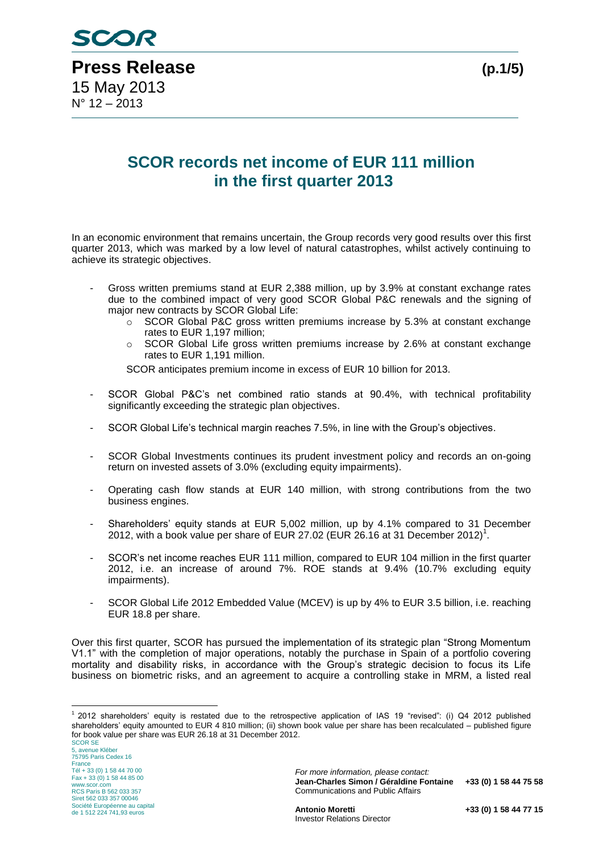

## **SCOR records net income of EUR 111 million in the first quarter 2013**

In an economic environment that remains uncertain, the Group records very good results over this first quarter 2013, which was marked by a low level of natural catastrophes, whilst actively continuing to achieve its strategic objectives.

- Gross written premiums stand at EUR 2,388 million, up by 3.9% at constant exchange rates due to the combined impact of very good SCOR Global P&C renewals and the signing of major new contracts by SCOR Global Life:
	- o SCOR Global P&C gross written premiums increase by 5.3% at constant exchange rates to EUR 1,197 million;
	- o SCOR Global Life gross written premiums increase by 2.6% at constant exchange rates to EUR 1,191 million.

SCOR anticipates premium income in excess of EUR 10 billion for 2013.

- SCOR Global P&C's net combined ratio stands at 90.4%, with technical profitability significantly exceeding the strategic plan objectives.
- SCOR Global Life's technical margin reaches 7.5%, in line with the Group's objectives.
- SCOR Global Investments continues its prudent investment policy and records an on-going return on invested assets of 3.0% (excluding equity impairments).
- Operating cash flow stands at EUR 140 million, with strong contributions from the two business engines.
- Shareholders' equity stands at EUR 5,002 million, up by 4.1% compared to 31 December 2012, with a book value per share of EUR 27.02 (EUR 26.16 at 31 December 2012)<sup>1</sup>.
- SCOR's net income reaches EUR 111 million, compared to EUR 104 million in the first quarter 2012, i.e. an increase of around 7%. ROE stands at 9.4% (10.7% excluding equity impairments).
- SCOR Global Life 2012 Embedded Value (MCEV) is up by 4% to EUR 3.5 billion, i.e. reaching EUR 18.8 per share.

Over this first quarter, SCOR has pursued the implementation of its strategic plan "Strong Momentum V1.1" with the completion of major operations, notably the purchase in Spain of a portfolio covering mortality and disability risks, in accordance with the Group's strategic decision to focus its Life business on biometric risks, and an agreement to acquire a controlling stake in MRM, a listed real

 1 2012 shareholders' equity is restated due to the retrospective application of IAS 19 "revised": (i) Q4 2012 published shareholders' equity amounted to EUR 4 810 million; (ii) shown book value per share has been recalculated – published figure for book value per share was EUR 26.18 at 31 December 2012.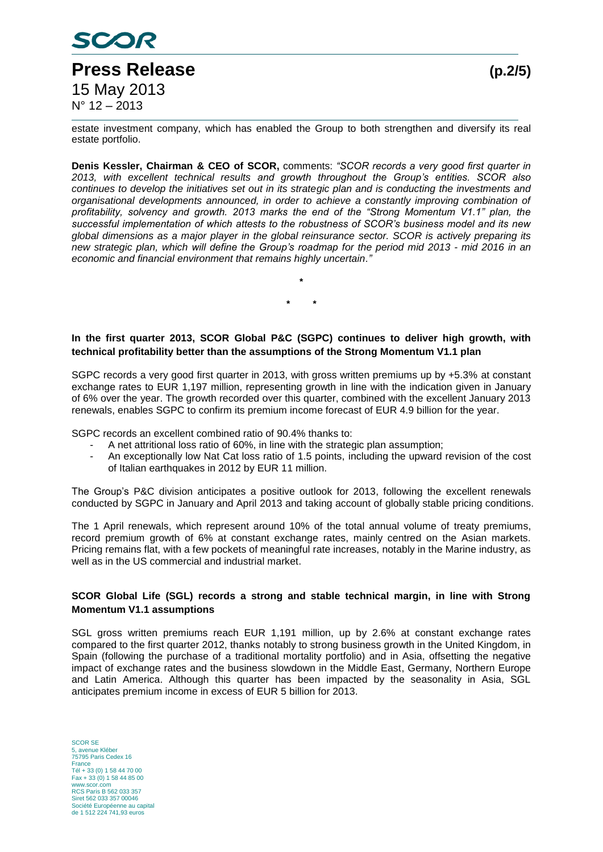

estate investment company, which has enabled the Group to both strengthen and diversify its real estate portfolio.

**Denis Kessler, Chairman & CEO of SCOR,** comments: *"SCOR records a very good first quarter in 2013, with excellent technical results and growth throughout the Group's entities. SCOR also continues to develop the initiatives set out in its strategic plan and is conducting the investments and organisational developments announced, in order to achieve a constantly improving combination of profitability, solvency and growth. 2013 marks the end of the "Strong Momentum V1.1" plan, the successful implementation of which attests to the robustness of SCOR's business model and its new global dimensions as a major player in the global reinsurance sector. SCOR is actively preparing its new strategic plan, which will define the Group's roadmap for the period mid 2013 - mid 2016 in an economic and financial environment that remains highly uncertain."*

> **\* \* \***

### **In the first quarter 2013, SCOR Global P&C (SGPC) continues to deliver high growth, with technical profitability better than the assumptions of the Strong Momentum V1.1 plan**

SGPC records a very good first quarter in 2013, with gross written premiums up by +5.3% at constant exchange rates to EUR 1,197 million, representing growth in line with the indication given in January of 6% over the year. The growth recorded over this quarter, combined with the excellent January 2013 renewals, enables SGPC to confirm its premium income forecast of EUR 4.9 billion for the year.

SGPC records an excellent combined ratio of 90.4% thanks to:

- A net attritional loss ratio of 60%, in line with the strategic plan assumption;
- An exceptionally low Nat Cat loss ratio of 1.5 points, including the upward revision of the cost of Italian earthquakes in 2012 by EUR 11 million.

The Group's P&C division anticipates a positive outlook for 2013, following the excellent renewals conducted by SGPC in January and April 2013 and taking account of globally stable pricing conditions.

The 1 April renewals, which represent around 10% of the total annual volume of treaty premiums, record premium growth of 6% at constant exchange rates, mainly centred on the Asian markets. Pricing remains flat, with a few pockets of meaningful rate increases, notably in the Marine industry, as well as in the US commercial and industrial market.

### **SCOR Global Life (SGL) records a strong and stable technical margin, in line with Strong Momentum V1.1 assumptions**

SGL gross written premiums reach EUR 1,191 million, up by 2.6% at constant exchange rates compared to the first quarter 2012, thanks notably to strong business growth in the United Kingdom, in Spain (following the purchase of a traditional mortality portfolio) and in Asia, offsetting the negative impact of exchange rates and the business slowdown in the Middle East, Germany, Northern Europe and Latin America. Although this quarter has been impacted by the seasonality in Asia, SGL anticipates premium income in excess of EUR 5 billion for 2013.

SCOR SE avenue Kléber 75795 Paris Cedex 16 France Tél + 33 (0) 1 58 44 70 00 Fax + 33 (0) 1 58 44 85 00 www.scor.com RCS Paris B 562 033 357 Siret 562 033 357 00046 Société Européenne au capital de 1 512 224 741,93 euros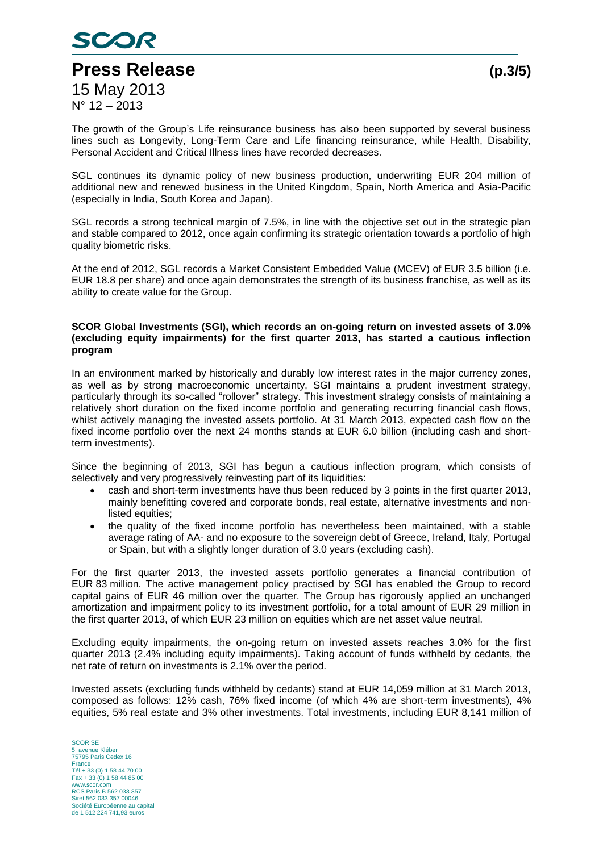

The growth of the Group's Life reinsurance business has also been supported by several business lines such as Longevity, Long-Term Care and Life financing reinsurance, while Health, Disability, Personal Accident and Critical Illness lines have recorded decreases.

SGL continues its dynamic policy of new business production, underwriting EUR 204 million of additional new and renewed business in the United Kingdom, Spain, North America and Asia-Pacific (especially in India, South Korea and Japan).

SGL records a strong technical margin of 7.5%, in line with the objective set out in the strategic plan and stable compared to 2012, once again confirming its strategic orientation towards a portfolio of high quality biometric risks.

At the end of 2012, SGL records a Market Consistent Embedded Value (MCEV) of EUR 3.5 billion (i.e. EUR 18.8 per share) and once again demonstrates the strength of its business franchise, as well as its ability to create value for the Group.

### **SCOR Global Investments (SGI), which records an on-going return on invested assets of 3.0% (excluding equity impairments) for the first quarter 2013, has started a cautious inflection program**

In an environment marked by historically and durably low interest rates in the major currency zones, as well as by strong macroeconomic uncertainty, SGI maintains a prudent investment strategy, particularly through its so-called "rollover" strategy. This investment strategy consists of maintaining a relatively short duration on the fixed income portfolio and generating recurring financial cash flows, whilst actively managing the invested assets portfolio. At 31 March 2013, expected cash flow on the fixed income portfolio over the next 24 months stands at EUR 6.0 billion (including cash and shortterm investments).

Since the beginning of 2013, SGI has begun a cautious inflection program, which consists of selectively and very progressively reinvesting part of its liquidities:

- cash and short-term investments have thus been reduced by 3 points in the first quarter 2013, mainly benefitting covered and corporate bonds, real estate, alternative investments and nonlisted equities;
- the quality of the fixed income portfolio has nevertheless been maintained, with a stable average rating of AA- and no exposure to the sovereign debt of Greece, Ireland, Italy, Portugal or Spain, but with a slightly longer duration of 3.0 years (excluding cash).

For the first quarter 2013, the invested assets portfolio generates a financial contribution of EUR 83 million. The active management policy practised by SGI has enabled the Group to record capital gains of EUR 46 million over the quarter. The Group has rigorously applied an unchanged amortization and impairment policy to its investment portfolio, for a total amount of EUR 29 million in the first quarter 2013, of which EUR 23 million on equities which are net asset value neutral.

Excluding equity impairments, the on-going return on invested assets reaches 3.0% for the first quarter 2013 (2.4% including equity impairments). Taking account of funds withheld by cedants, the net rate of return on investments is 2.1% over the period.

Invested assets (excluding funds withheld by cedants) stand at EUR 14,059 million at 31 March 2013, composed as follows: 12% cash, 76% fixed income (of which 4% are short-term investments), 4% equities, 5% real estate and 3% other investments. Total investments, including EUR 8,141 million of

SCOR SE 5, avenue Kléber 75795 Paris Cedex 16 France Tél + 33 (0) 1 58 44 70 00 Fax + 33 (0) 1 58 44 85 00 www.scor.com RCS Paris B 562 033 357 Siret 562 033 357 00046 Société Européenne au capital de 1 512 224 741,93 euros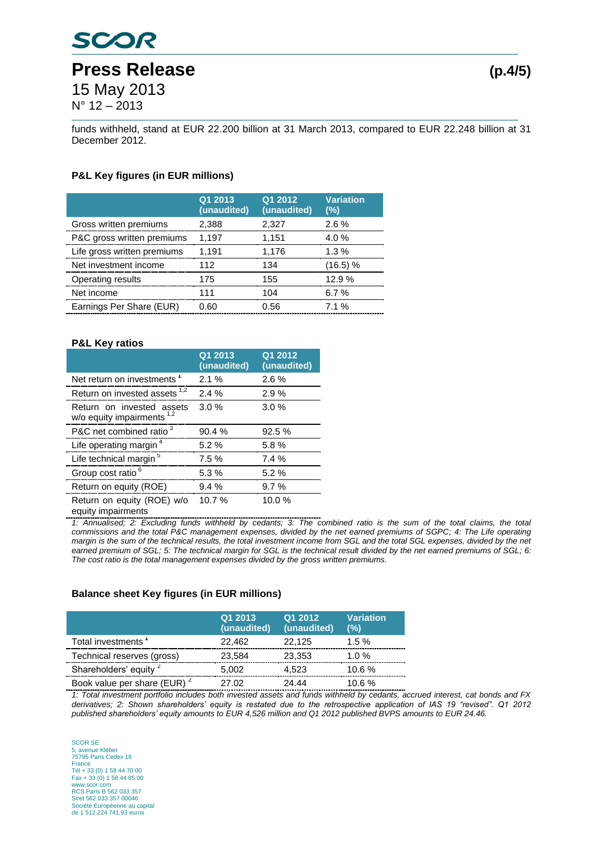# **SCOR Press Release (p.4/5)** 15 May 2013 N° 12 – 2013

funds withheld, stand at EUR 22.200 billion at 31 March 2013, compared to EUR 22.248 billion at 31 December 2012.

### **P&L Key figures (in EUR millions)**

|                             | Q1 2013<br>(unaudited) | Q1 2012<br>(unaudited) | <b>Variation</b><br>(%) |
|-----------------------------|------------------------|------------------------|-------------------------|
| Gross written premiums      | 2,388                  | 2,327                  | $2.6\%$                 |
| P&C gross written premiums  | 1,197                  | 1,151                  | 4.0%                    |
| Life gross written premiums | 1,191                  | 1,176                  | 1.3%                    |
| Net investment income       | 112                    | 134                    | (16.5) %                |
| Operating results           | 175                    | 155                    | 12.9 %                  |
| Net income                  | 111                    | 104                    | 6.7%                    |
| Earnings Per Share (EUR)    | 0.60                   | 0.56                   | 7.1%                    |

### **P&L Key ratios**

|                                                           | Q1 2013<br>(unaudited) | Q1 2012<br>(unaudited) |
|-----------------------------------------------------------|------------------------|------------------------|
| Net return on investments <sup>1</sup>                    | 2.1%                   | 2.6%                   |
| Return on invested assets <sup>1,2</sup>                  | 2.4%                   | 2.9%                   |
| Return on invested assets<br>w/o equity impairments $1,2$ | 3.0%                   | 3.0%                   |
| P&C net combined ratio <sup>3</sup>                       | 90.4 %                 | 92.5%                  |
| Life operating margin <sup>4</sup>                        | 5.2%                   | 5.8%                   |
| Life technical margin <sup>5</sup>                        | 7.5%                   | 7.4%                   |
| Group cost ratio <sup>6</sup>                             | 5.3%                   | 5.2%                   |
| Return on equity (ROE)                                    | 9.4%                   | 9.7%                   |
| Return on equity (ROE) w/o                                | 10.7%                  | 10.0%                  |

equity impairments

*1: Annualised; 2: Excluding funds withheld by cedants; 3: The combined ratio is the sum of the total claims, the total commissions and the total P&C management expenses, divided by the net earned premiums of SGPC; 4: The Life operating margin is the sum of the technical results, the total investment income from SGL and the total SGL expenses, divided by the net*  earned premium of SGL; 5: The technical margin for SGL is the technical result divided by the net earned premiums of SGL; 6: *The cost ratio is the total management expenses divided by the gross written premiums.*

#### **Balance sheet Key figures (in EUR millions)**

|                                         | Q1 2013<br>(unaudited) | Q1 2012<br>(unaudited) | <b>Variation</b><br>(%) |
|-----------------------------------------|------------------------|------------------------|-------------------------|
| Total investments <sup>1</sup>          | 22,462                 | 22,125                 | 1.5%                    |
| Technical reserves (gross)              | 23,584                 | 23,353                 | $1.0 \%$                |
| Shareholders' equity 2                  | 5,002                  | 4,523                  | 10.6%                   |
| Book value per share (EUR) <sup>2</sup> | 27.02                  | 24.44                  | 10.6 %                  |

*1: Total investment portfolio includes both invested assets and funds withheld by cedants, accrued interest, cat bonds and FX derivatives; 2: Shown shareholders' equity is restated due to the retrospective application of IAS 19 "revised". Q1 2012 published shareholders' equity amounts to EUR 4,526 million and Q1 2012 published BVPS amounts to EUR 24.46.* 

SCOR SE 5, avenue Kléber 75795 Paris Cedex 16 France Tél + 33 (0) 1 58 44 70 00 Fax + 33 (0) 1 58 44 85 00 www.scor.com RCS Paris B 562 033 357 Siret 562 033 357 00046 Société Européenne au capital de 1 512 224 741,93 euros